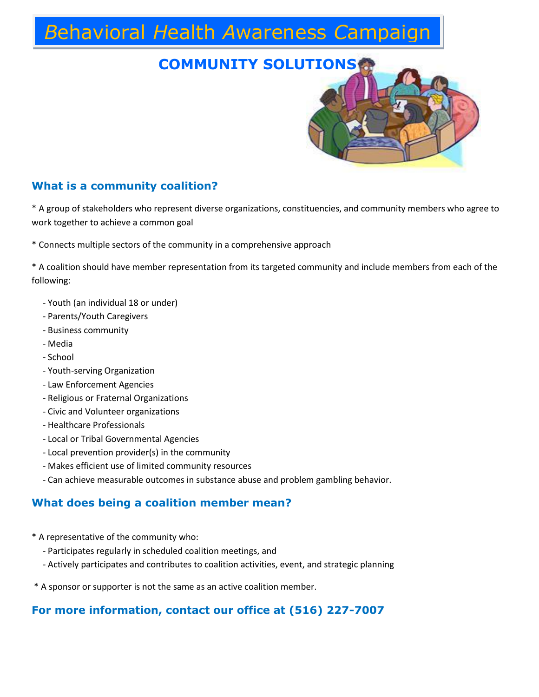# *B*ehavioral *H*ealth *A*wareness *C*ampaign

### **COMMUNITY SOLUTIONS**



#### **What is a community coalition?**

\* A group of stakeholders who represent diverse organizations, constituencies, and community members who agree to work together to achieve a common goal

\* Connects multiple sectors of the community in a comprehensive approach

\* A coalition should have member representation from its targeted community and include members from each of the following:

- Youth (an individual 18 or under)
- Parents/Youth Caregivers
- Business community
- Media
- School
- Youth-serving Organization
- Law Enforcement Agencies
- Religious or Fraternal Organizations
- Civic and Volunteer organizations
- Healthcare Professionals
- Local or Tribal Governmental Agencies
- Local prevention provider(s) in the community
- Makes efficient use of limited community resources
- Can achieve measurable outcomes in substance abuse and problem gambling behavior.

#### **What does being a coalition member mean?**

- \* A representative of the community who:
	- Participates regularly in scheduled coalition meetings, and
	- Actively participates and contributes to coalition activities, event, and strategic planning
- \* A sponsor or supporter is not the same as an active coalition member.

#### **For more information, contact our office at (516) 227-7007**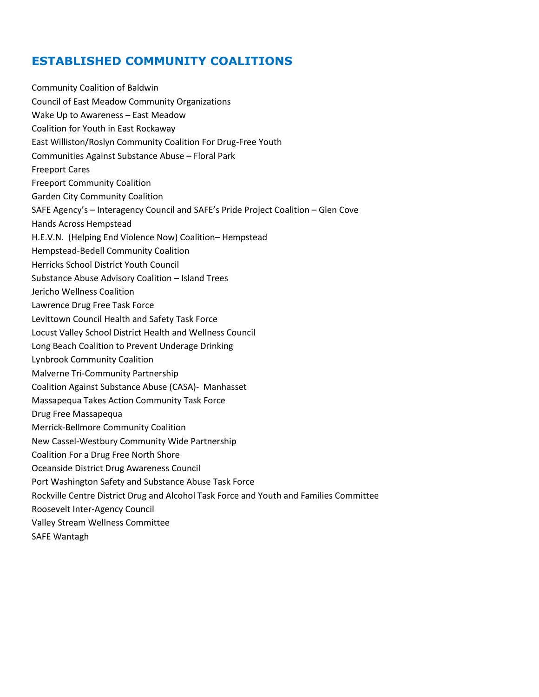#### **ESTABLISHED COMMUNITY COALITIONS**

Community Coalition of Baldwin Council of East Meadow Community Organizations Wake Up to Awareness – East Meadow Coalition for Youth in East Rockaway East Williston/Roslyn Community Coalition For Drug-Free Youth Communities Against Substance Abuse – Floral Park Freeport Cares Freeport Community Coalition Garden City Community Coalition SAFE Agency's – Interagency Council and SAFE's Pride Project Coalition – Glen Cove Hands Across Hempstead H.E.V.N. (Helping End Violence Now) Coalition– Hempstead Hempstead-Bedell Community Coalition Herricks School District Youth Council Substance Abuse Advisory Coalition – Island Trees Jericho Wellness Coalition Lawrence Drug Free Task Force Levittown Council Health and Safety Task Force Locust Valley School District Health and Wellness Council Long Beach Coalition to Prevent Underage Drinking Lynbrook Community Coalition Malverne Tri-Community Partnership Coalition Against Substance Abuse (CASA)- Manhasset Massapequa Takes Action Community Task Force Drug Free Massapequa Merrick-Bellmore Community Coalition New Cassel-Westbury Community Wide Partnership Coalition For a Drug Free North Shore Oceanside District Drug Awareness Council Port Washington Safety and Substance Abuse Task Force Rockville Centre District Drug and Alcohol Task Force and Youth and Families Committee Roosevelt Inter-Agency Council Valley Stream Wellness Committee SAFE Wantagh